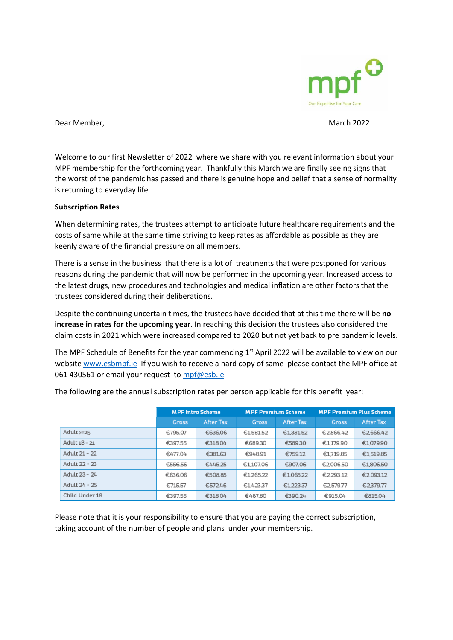

Dear Member, National According to the March 2022 March 2022

Welcome to our first Newsletter of 2022 where we share with you relevant information about your MPF membership for the forthcoming year. Thankfully this March we are finally seeing signs that the worst of the pandemic has passed and there is genuine hope and belief that a sense of normality is returning to everyday life.

## **Subscription Rates**

When determining rates, the trustees attempt to anticipate future healthcare requirements and the costs of same while at the same time striving to keep rates as affordable as possible as they are keenly aware of the financial pressure on all members.

There is a sense in the business that there is a lot of treatments that were postponed for various reasons during the pandemic that will now be performed in the upcoming year. Increased access to the latest drugs, new procedures and technologies and medical inflation are other factors that the trustees considered during their deliberations.

Despite the continuing uncertain times, the trustees have decided that at this time there will be **no increase in rates for the upcoming year**. In reaching this decision the trustees also considered the claim costs in 2021 which were increased compared to 2020 but not yet back to pre pandemic levels.

The MPF Schedule of Benefits for the year commencing 1<sup>st</sup> April 2022 will be available to view on our websit[e www.esbmpf.ie](http://www.esbmpf.ie/) If you wish to receive a hard copy of same please contact the MPF office at 061 430561 or email your request t[o mpf@esb.ie](mailto:mpf@esb.ie)

|                | <b>MPF Intro Scheme</b> |                  | <b>MPF Premium Scheme</b> |                  | <b>MPF Premium Plus Scheme</b> |           |
|----------------|-------------------------|------------------|---------------------------|------------------|--------------------------------|-----------|
|                | Gross                   | <b>After Tax</b> | Gross                     | <b>After Tax</b> | Gross                          | After Tax |
| Adult $>=25$   | €795.07                 | €636.06          | €1,581.52                 | €1,381.52        | €2.866.42                      | €2,666.42 |
| Adult 18 - 21  | €397.55                 | €318.04          | €689.30                   | €589.30          | €1179.90                       | €1,079.90 |
| Adult 21 - 22  | €477.04                 | €381.63          | €948.91                   | €759.12          | €1,719.85                      | €1,519.85 |
| Adult 22 - 23  | €556.56                 | €445.25          | €1.107.06                 | €907.06          | €2.006.50                      | €1,806.50 |
| Adult 23 - 24  | €636.06                 | €508.85          | €1,265.22                 | €1,065.22        | €2.293.12                      | €2.093.12 |
| Adult 24 - 25  | €715.57                 | €572.46          | €1.423.37                 | €1223.37         | €2.579.77                      | €2379.77  |
| Child Under 18 | €397.55                 | €318.04          | €487.80                   | €390.24          | €915.04                        | €815.04   |

The following are the annual subscription rates per person applicable for this benefit year:

Please note that it is your responsibility to ensure that you are paying the correct subscription, taking account of the number of people and plans under your membership.